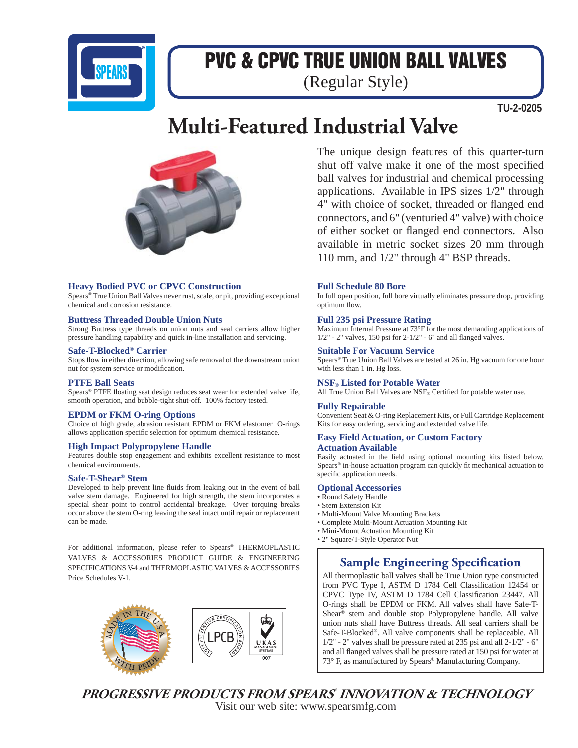

# PVC & CPVC TRUE UNION BALL VALVES

(Regular Style)

**TU-2-0205**

# **Multi-Featured Industrial Valve**



# **Heavy Bodied PVC or CPVC Construction**

Spears® True Union Ball Valves never rust, scale, or pit, providing exceptional chemical and corrosion resistance.

# **Buttress Threaded Double Union Nuts**

Strong Buttress type threads on union nuts and seal carriers allow higher pressure handling capability and quick in-line installation and servicing.

# **Safe-T-Blocked® Carrier**

Stops flow in either direction, allowing safe removal of the downstream union nut for system service or modification.

#### **PTFE Ball Seats**

Spears® PTFE floating seat design reduces seat wear for extended valve life, smooth operation, and bubble-tight shut-off. 100% factory tested.

# **EPDM or FKM O-ring Options**

Choice of high grade, abrasion resistant EPDM or FKM elastomer O-rings allows application specific selection for optimum chemical resistance.

#### **High Impact Polypropylene Handle**

Features double stop engagement and exhibits excellent resistance to most chemical environments.

#### **Safe-T-Shear® Stem**

Developed to help prevent line fluids from leaking out in the event of ball valve stem damage. Engineered for high strength, the stem incorporates a special shear point to control accidental breakage. Over torquing breaks occur above the stem O-ring leaving the seal intact until repair or replacement can be made.

For additional information, please refer to Spears® THERMOPLASTIC VALVES & ACCESSORIES PRODUCT GUIDE & ENGINEERING SPECIFICATIONS V-4 and THERMOPLASTIC VALVES & ACCESSORIES Price Schedules V-1.



The unique design features of this quarter-turn shut off valve make it one of the most specified ball valves for industrial and chemical processing applications. Available in IPS sizes 1/2" through 4" with choice of socket, threaded or flanged end connectors, and 6" (venturied 4" valve) with choice of either socket or flanged end connectors. Also available in metric socket sizes 20 mm through 110 mm, and 1/2" through 4" BSP threads.

# **Full Schedule 80 Bore**

In full open position, full bore virtually eliminates pressure drop, providing optimum flow.

# **Full 235 psi Pressure Rating**

Maximum Internal Pressure at 73°F for the most demanding applications of  $1/2"$  - 2" valves, 150 psi for 2-1/2" - 6" and all flanged valves.

#### **Suitable For Vacuum Service**

Spears® True Union Ball Valves are tested at 26 in. Hg vacuum for one hour with less than 1 in. Hg loss.

**NSF® Listed for Potable Water** All True Union Ball Valves are NSF® Certified for potable water use.

#### **Fully Repairable**

Convenient Seat & O-ring Replacement Kits, or Full Cartridge Replacement Kits for easy ordering, servicing and extended valve life.

#### **Easy Field Actuation, or Custom Factory Actuation Available**

Easily actuated in the field using optional mounting kits listed below. Spears<sup>®</sup> in-house actuation program can quickly fit mechanical actuation to specific application needs.

#### **Optional Accessories**

- Round Safety Handle
- Stem Extension Kit
- Multi-Mount Valve Mounting Brackets
- Complete Multi-Mount Actuation Mounting Kit
- Mini-Mount Actuation Mounting Kit
- 2" Square/T-Style Operator Nut

# **Sample Engineering Specification**

All thermoplastic ball valves shall be True Union type constructed from PVC Type I, ASTM D 1784 Cell Classification 12454 or CPVC Type IV, ASTM D 1784 Cell Classification 23447. All O-rings shall be EPDM or FKM. All valves shall have Safe-T-Shear® stem and double stop Polypropylene handle. All valve union nuts shall have Buttress threads. All seal carriers shall be Safe-T-Blocked®. All valve components shall be replaceable. All 1/2" - 2" valves shall be pressure rated at 235 psi and all 2-1/2" - 6" and all flanged valves shall be pressure rated at 150 psi for water at 73° F, as manufactured by Spears® Manufacturing Company.

**PROGRESSIVE PRODUCTS FROM SPEARS® INNOVATION & TECHNOLOGY** Visit our web site: www.spearsmfg.com